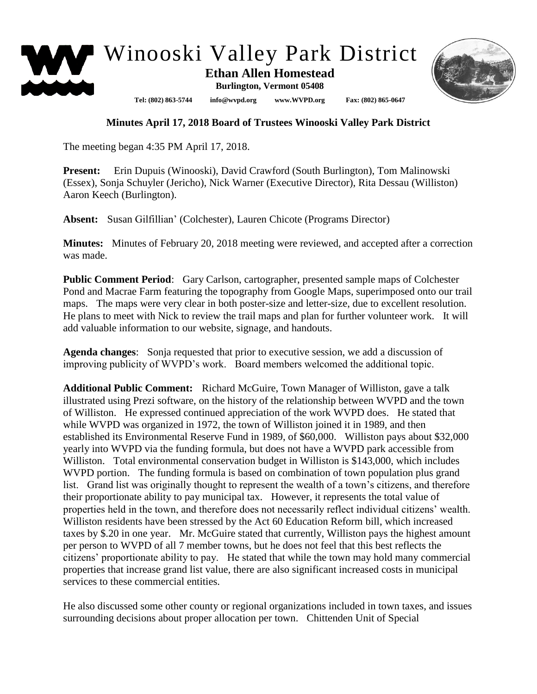

## **Minutes April 17, 2018 Board of Trustees Winooski Valley Park District**

The meeting began 4:35 PM April 17, 2018.

**Present:** Erin Dupuis (Winooski), David Crawford (South Burlington), Tom Malinowski (Essex), Sonja Schuyler (Jericho), Nick Warner (Executive Director), Rita Dessau (Williston) Aaron Keech (Burlington).

**Absent:** Susan Gilfillian' (Colchester), Lauren Chicote (Programs Director)

**Minutes:** Minutes of February 20, 2018 meeting were reviewed, and accepted after a correction was made.

**Public Comment Period**: Gary Carlson, cartographer, presented sample maps of Colchester Pond and Macrae Farm featuring the topography from Google Maps, superimposed onto our trail maps. The maps were very clear in both poster-size and letter-size, due to excellent resolution. He plans to meet with Nick to review the trail maps and plan for further volunteer work. It will add valuable information to our website, signage, and handouts.

**Agenda changes**: Sonja requested that prior to executive session, we add a discussion of improving publicity of WVPD's work. Board members welcomed the additional topic.

**Additional Public Comment:** Richard McGuire, Town Manager of Williston, gave a talk illustrated using Prezi software, on the history of the relationship between WVPD and the town of Williston. He expressed continued appreciation of the work WVPD does. He stated that while WVPD was organized in 1972, the town of Williston joined it in 1989, and then established its Environmental Reserve Fund in 1989, of \$60,000. Williston pays about \$32,000 yearly into WVPD via the funding formula, but does not have a WVPD park accessible from Williston. Total environmental conservation budget in Williston is \$143,000, which includes WVPD portion. The funding formula is based on combination of town population plus grand list. Grand list was originally thought to represent the wealth of a town's citizens, and therefore their proportionate ability to pay municipal tax. However, it represents the total value of properties held in the town, and therefore does not necessarily reflect individual citizens' wealth. Williston residents have been stressed by the Act 60 Education Reform bill, which increased taxes by \$.20 in one year. Mr. McGuire stated that currently, Williston pays the highest amount per person to WVPD of all 7 member towns, but he does not feel that this best reflects the citizens' proportionate ability to pay. He stated that while the town may hold many commercial properties that increase grand list value, there are also significant increased costs in municipal services to these commercial entities.

He also discussed some other county or regional organizations included in town taxes, and issues surrounding decisions about proper allocation per town. Chittenden Unit of Special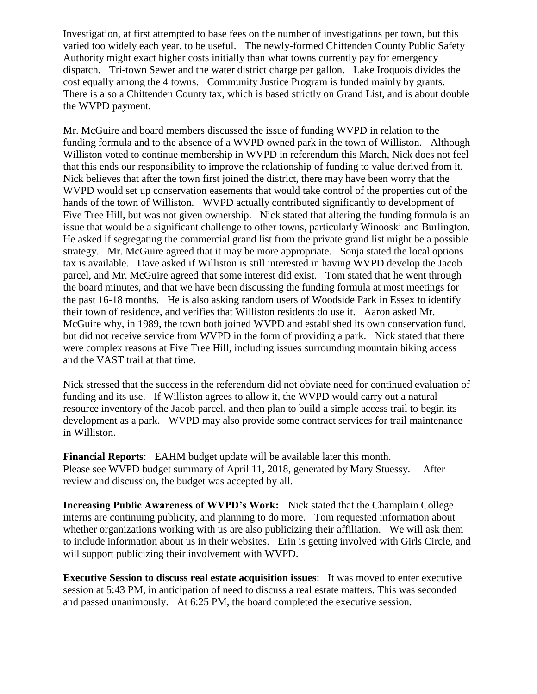Investigation, at first attempted to base fees on the number of investigations per town, but this varied too widely each year, to be useful. The newly-formed Chittenden County Public Safety Authority might exact higher costs initially than what towns currently pay for emergency dispatch. Tri-town Sewer and the water district charge per gallon. Lake Iroquois divides the cost equally among the 4 towns. Community Justice Program is funded mainly by grants. There is also a Chittenden County tax, which is based strictly on Grand List, and is about double the WVPD payment.

Mr. McGuire and board members discussed the issue of funding WVPD in relation to the funding formula and to the absence of a WVPD owned park in the town of Williston. Although Williston voted to continue membership in WVPD in referendum this March, Nick does not feel that this ends our responsibility to improve the relationship of funding to value derived from it. Nick believes that after the town first joined the district, there may have been worry that the WVPD would set up conservation easements that would take control of the properties out of the hands of the town of Williston. WVPD actually contributed significantly to development of Five Tree Hill, but was not given ownership. Nick stated that altering the funding formula is an issue that would be a significant challenge to other towns, particularly Winooski and Burlington. He asked if segregating the commercial grand list from the private grand list might be a possible strategy. Mr. McGuire agreed that it may be more appropriate. Sonja stated the local options tax is available. Dave asked if Williston is still interested in having WVPD develop the Jacob parcel, and Mr. McGuire agreed that some interest did exist. Tom stated that he went through the board minutes, and that we have been discussing the funding formula at most meetings for the past 16-18 months. He is also asking random users of Woodside Park in Essex to identify their town of residence, and verifies that Williston residents do use it. Aaron asked Mr. McGuire why, in 1989, the town both joined WVPD and established its own conservation fund, but did not receive service from WVPD in the form of providing a park. Nick stated that there were complex reasons at Five Tree Hill, including issues surrounding mountain biking access and the VAST trail at that time.

Nick stressed that the success in the referendum did not obviate need for continued evaluation of funding and its use. If Williston agrees to allow it, the WVPD would carry out a natural resource inventory of the Jacob parcel, and then plan to build a simple access trail to begin its development as a park. WVPD may also provide some contract services for trail maintenance in Williston.

**Financial Reports**: EAHM budget update will be available later this month. Please see WVPD budget summary of April 11, 2018, generated by Mary Stuessy. After review and discussion, the budget was accepted by all.

**Increasing Public Awareness of WVPD's Work:** Nick stated that the Champlain College interns are continuing publicity, and planning to do more. Tom requested information about whether organizations working with us are also publicizing their affiliation. We will ask them to include information about us in their websites. Erin is getting involved with Girls Circle, and will support publicizing their involvement with WVPD.

**Executive Session to discuss real estate acquisition issues**: It was moved to enter executive session at 5:43 PM, in anticipation of need to discuss a real estate matters. This was seconded and passed unanimously. At 6:25 PM, the board completed the executive session.